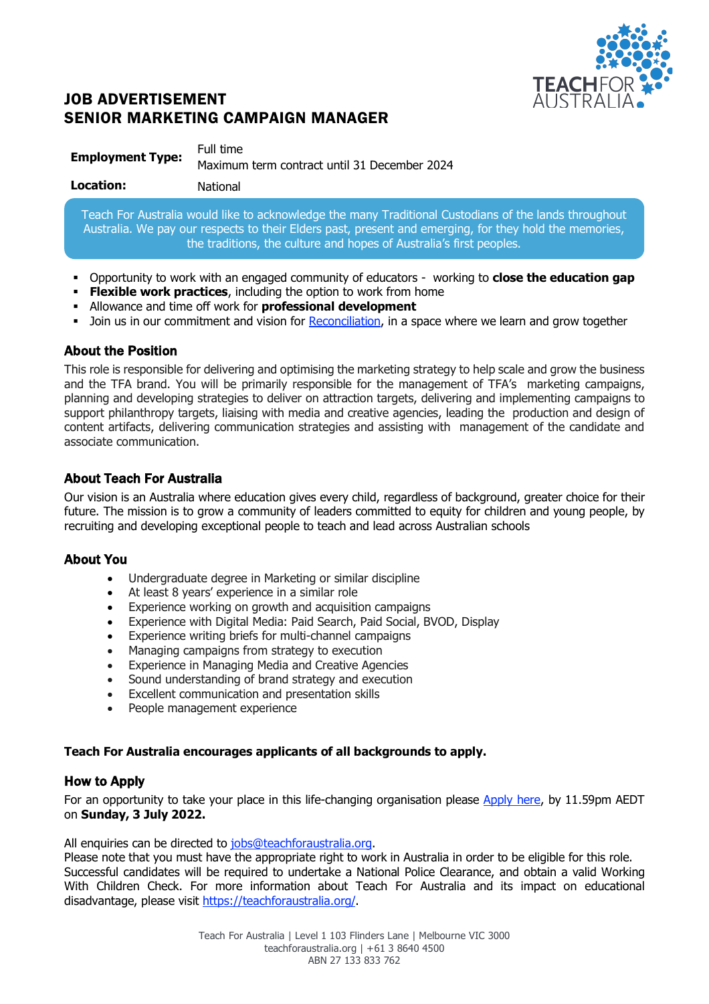

# JOB ADVERTISEMENT SENIOR MARKETING CAMPAIGN MANAGER

| <b>Employment Type:</b> | Full time                                    |
|-------------------------|----------------------------------------------|
|                         | Maximum term contract until 31 December 2024 |

Teach For Australia would like to acknowledge the many Traditional Custodians of the lands throughout Australia. We pay our respects to their Elders past, present and emerging, for they hold the memories, the traditions, the culture and hopes of Australia's first peoples.

- § Opportunity to work with an engaged community of educators working to **close the education gap**
- **Flexible work practices**, including the option to work from home
- § Allowance and time off work for **professional development**
- Join us in our commitment and vision for Reconciliation, in a space where we learn and grow together

# About the Position

This role is responsible for delivering and optimising the marketing strategy to help scale and grow the business and the TFA brand. You will be primarily responsible for the management of TFA's marketing campaigns, planning and developing strategies to deliver on attraction targets, delivering and implementing campaigns to support philanthropy targets, liaising with media and creative agencies, leading the production and design of content artifacts, delivering communication strategies and assisting with management of the candidate and associate communication.

# About Teach For Australia

Our vision is an Australia where education gives every child, regardless of background, greater choice for their future. The mission is to grow a community of leaders committed to equity for children and young people, by recruiting and developing exceptional people to teach and lead across Australian schools

# About You

- Undergraduate degree in Marketing or similar discipline
- At least 8 years' experience in a similar role
- Experience working on growth and acquisition campaigns
- Experience with Digital Media: Paid Search, Paid Social, BVOD, Display
- Experience writing briefs for multi-channel campaigns
- Managing campaigns from strategy to execution
- Experience in Managing Media and Creative Agencies
- Sound understanding of brand strategy and execution
- Excellent communication and presentation skills
- People management experience

# **Teach For Australia encourages applicants of all backgrounds to apply.**

# How to Apply

For an opportunity to take your place in this life-changing organisation please Apply here, by 11.59pm AEDT on **Sunday, 3 July 2022.**

All enquiries can be directed to jobs@teachforaustralia.org.

Please note that you must have the appropriate right to work in Australia in order to be eligible for this role. Successful candidates will be required to undertake a National Police Clearance, and obtain a valid Working With Children Check. For more information about Teach For Australia and its impact on educational disadvantage, please visit https://teachforaustralia.org/.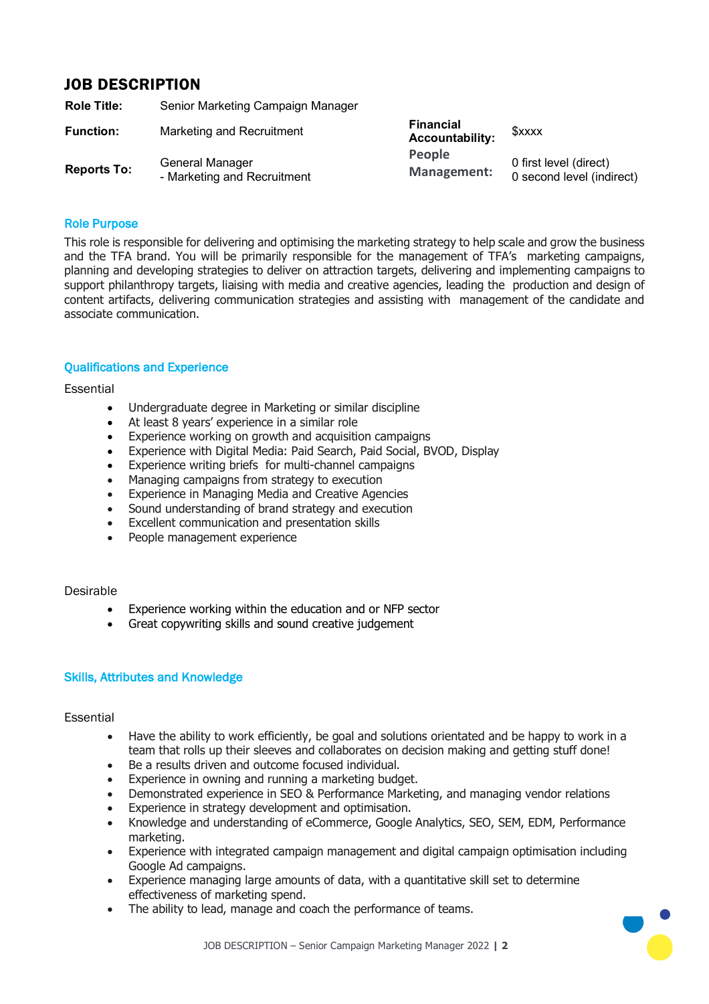# JOB DESCRIPTION

| <b>Role Title:</b> | Senior Marketing Campaign Manager              |                                     |                                                     |
|--------------------|------------------------------------------------|-------------------------------------|-----------------------------------------------------|
| <b>Function:</b>   | Marketing and Recruitment                      | Financial<br><b>Accountability:</b> | <b>SXXXX</b>                                        |
| <b>Reports To:</b> | General Manager<br>- Marketing and Recruitment | People<br>Management:               | 0 first level (direct)<br>0 second level (indirect) |

## Role Purpose

This role is responsible for delivering and optimising the marketing strategy to help scale and grow the business and the TFA brand. You will be primarily responsible for the management of TFA's marketing campaigns, planning and developing strategies to deliver on attraction targets, delivering and implementing campaigns to support philanthropy targets, liaising with media and creative agencies, leading the production and design of content artifacts, delivering communication strategies and assisting with management of the candidate and associate communication.

## Qualifications and Experience

## Essential

- Undergraduate degree in Marketing or similar discipline
- At least 8 years' experience in a similar role
- Experience working on growth and acquisition campaigns
- Experience with Digital Media: Paid Search, Paid Social, BVOD, Display
- Experience writing briefs for multi-channel campaigns
- Managing campaigns from strategy to execution
- Experience in Managing Media and Creative Agencies
- Sound understanding of brand strategy and execution
- Excellent communication and presentation skills
- People management experience

#### Desirable

- Experience working within the education and or NFP sector
- Great copywriting skills and sound creative judgement

## Skills, Attributes and Knowledge

## Essential

- Have the ability to work efficiently, be goal and solutions orientated and be happy to work in a team that rolls up their sleeves and collaborates on decision making and getting stuff done!
- Be a results driven and outcome focused individual.
- Experience in owning and running a marketing budget.
- Demonstrated experience in SEO & Performance Marketing, and managing vendor relations
- Experience in strategy development and optimisation.
- Knowledge and understanding of eCommerce, Google Analytics, SEO, SEM, EDM, Performance marketing.
- Experience with integrated campaign management and digital campaign optimisation including Google Ad campaigns.
- Experience managing large amounts of data, with a quantitative skill set to determine effectiveness of marketing spend.
- The ability to lead, manage and coach the performance of teams.

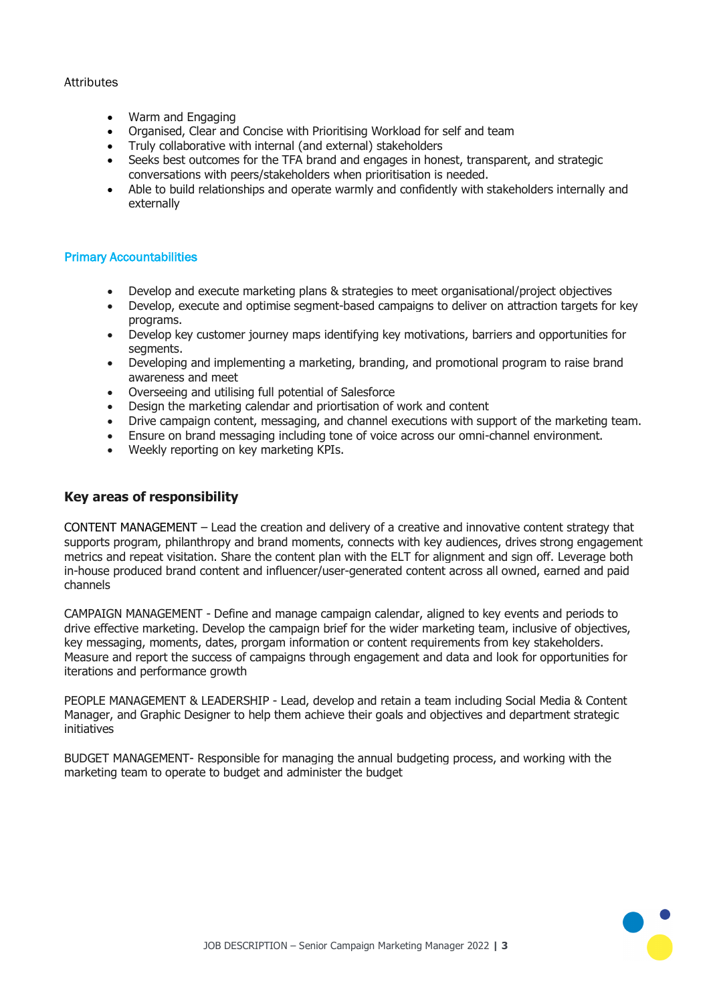## **Attributes**

- Warm and Engaging
- Organised, Clear and Concise with Prioritising Workload for self and team
- Truly collaborative with internal (and external) stakeholders
- Seeks best outcomes for the TFA brand and engages in honest, transparent, and strategic conversations with peers/stakeholders when prioritisation is needed.
- Able to build relationships and operate warmly and confidently with stakeholders internally and externally

## Primary Accountabilities

- Develop and execute marketing plans & strategies to meet organisational/project objectives
- Develop, execute and optimise segment-based campaigns to deliver on attraction targets for key programs.
- Develop key customer journey maps identifying key motivations, barriers and opportunities for segments.
- Developing and implementing a marketing, branding, and promotional program to raise brand awareness and meet
- Overseeing and utilising full potential of Salesforce
- Design the marketing calendar and priortisation of work and content
- Drive campaign content, messaging, and channel executions with support of the marketing team.
- Ensure on brand messaging including tone of voice across our omni-channel environment.
- Weekly reporting on key marketing KPIs.

# **Key areas of responsibility**

CONTENT MANAGEMENT – Lead the creation and delivery of a creative and innovative content strategy that supports program, philanthropy and brand moments, connects with key audiences, drives strong engagement metrics and repeat visitation. Share the content plan with the ELT for alignment and sign off. Leverage both in-house produced brand content and influencer/user-generated content across all owned, earned and paid channels

CAMPAIGN MANAGEMENT - Define and manage campaign calendar, aligned to key events and periods to drive effective marketing. Develop the campaign brief for the wider marketing team, inclusive of objectives, key messaging, moments, dates, prorgam information or content requirements from key stakeholders. Measure and report the success of campaigns through engagement and data and look for opportunities for iterations and performance growth

PEOPLE MANAGEMENT & LEADERSHIP - Lead, develop and retain a team including Social Media & Content Manager, and Graphic Designer to help them achieve their goals and objectives and department strategic initiatives

BUDGET MANAGEMENT- Responsible for managing the annual budgeting process, and working with the marketing team to operate to budget and administer the budget